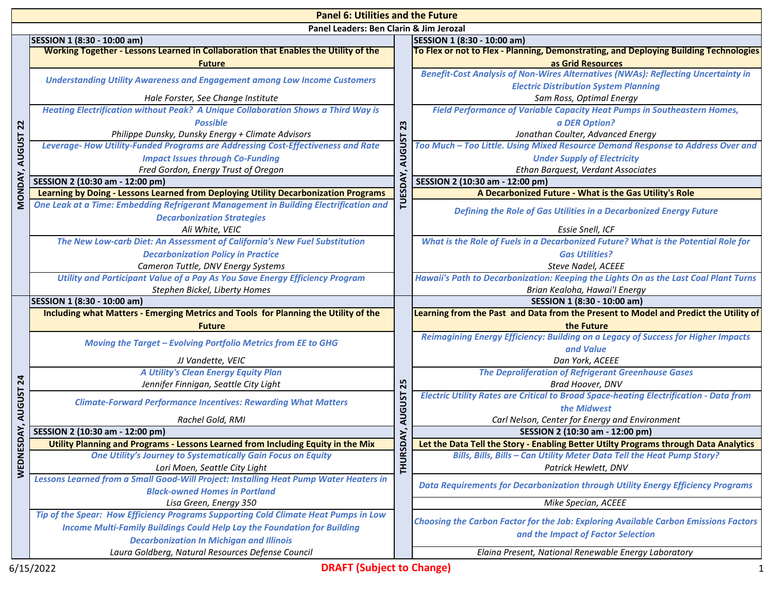|                 | <b>Panel 6: Utilities and the Future</b>                                                                                           |                     |                                                                                                                         |  |  |
|-----------------|------------------------------------------------------------------------------------------------------------------------------------|---------------------|-------------------------------------------------------------------------------------------------------------------------|--|--|
|                 | Panel Leaders: Ben Clarin & Jim Jerozal                                                                                            |                     |                                                                                                                         |  |  |
|                 | SESSION 1 (8:30 - 10:00 am)                                                                                                        |                     | SESSION 1 (8:30 - 10:00 am)                                                                                             |  |  |
|                 | Working Together - Lessons Learned in Collaboration that Enables the Utility of the                                                |                     | To Flex or not to Flex - Planning, Demonstrating, and Deploying Building Technologies                                   |  |  |
|                 | <b>Future</b>                                                                                                                      |                     | as Grid Resources                                                                                                       |  |  |
|                 | <b>Understanding Utility Awareness and Engagement among Low Income Customers</b>                                                   |                     | <b>Benefit-Cost Analysis of Non-Wires Alternatives (NWAs): Reflecting Uncertainty in</b>                                |  |  |
|                 |                                                                                                                                    |                     | <b>Electric Distribution System Planning</b>                                                                            |  |  |
|                 | Hale Forster, See Change Institute                                                                                                 | 23<br><b>AUGUST</b> | Sam Ross, Optimal Energy                                                                                                |  |  |
|                 | <b>Heating Electrification without Peak? A Unique Collaboration Shows a Third Way is</b>                                           |                     | Field Performance of Variable Capacity Heat Pumps in Southeastern Homes,                                                |  |  |
| $\overline{2}$  | <b>Possible</b>                                                                                                                    |                     | a DER Option?                                                                                                           |  |  |
|                 | Philippe Dunsky, Dunsky Energy + Climate Advisors                                                                                  |                     | Jonathan Coulter, Advanced Energy                                                                                       |  |  |
| <b>AUGUST</b>   | Leverage- How Utility-Funded Programs are Addressing Cost-Effectiveness and Rate                                                   |                     | Too Much - Too Little. Using Mixed Resource Demand Response to Address Over and                                         |  |  |
|                 | <b>Impact Issues through Co-Funding</b>                                                                                            |                     | <b>Under Supply of Electricity</b>                                                                                      |  |  |
|                 | Fred Gordon, Energy Trust of Oregon                                                                                                |                     | Ethan Barquest, Verdant Associates                                                                                      |  |  |
| <b>MONDAY</b>   | SESSION 2 (10:30 am - 12:00 pm)                                                                                                    |                     | SESSION 2 (10:30 am - 12:00 pm)                                                                                         |  |  |
|                 | Learning by Doing - Lessons Learned from Deploying Utility Decarbonization Programs                                                | TUESI               | A Decarbonized Future - What is the Gas Utility's Role                                                                  |  |  |
|                 | One Leak at a Time: Embedding Refrigerant Management in Building Electrification and<br><b>Decarbonization Strategies</b>          |                     | Defining the Role of Gas Utilities in a Decarbonized Energy Future                                                      |  |  |
|                 | Ali White, VEIC                                                                                                                    |                     | <b>Essie Snell, ICF</b>                                                                                                 |  |  |
|                 | The New Low-carb Diet: An Assessment of California's New Fuel Substitution                                                         |                     | What is the Role of Fuels in a Decarbonized Future? What is the Potential Role for                                      |  |  |
|                 | <b>Decarbonization Policy in Practice</b>                                                                                          |                     | <b>Gas Utilities?</b>                                                                                                   |  |  |
|                 | Cameron Tuttle, DNV Energy Systems                                                                                                 |                     | Steve Nadel, ACEEE                                                                                                      |  |  |
|                 | Utility and Participant Value of a Pay As You Save Energy Efficiency Program                                                       |                     | Hawaii's Path to Decarbonization: Keeping the Lights On as the Last Coal Plant Turns                                    |  |  |
|                 | Stephen Bickel, Liberty Homes                                                                                                      |                     | Brian Kealoha, Hawai'l Energy                                                                                           |  |  |
|                 | SESSION 1 (8:30 - 10:00 am)                                                                                                        |                     | SESSION 1 (8:30 - 10:00 am)                                                                                             |  |  |
|                 | Including what Matters - Emerging Metrics and Tools for Planning the Utility of the                                                |                     | Learning from the Past and Data from the Present to Model and Predict the Utility of                                    |  |  |
|                 |                                                                                                                                    |                     |                                                                                                                         |  |  |
|                 | <b>Future</b>                                                                                                                      |                     | the Future                                                                                                              |  |  |
|                 | <b>Moving the Target - Evolving Portfolio Metrics from EE to GHG</b>                                                               |                     | Reimagining Energy Efficiency: Building on a Legacy of Success for Higher Impacts                                       |  |  |
|                 | JJ Vandette, VEIC                                                                                                                  |                     | and Value<br>Dan York, ACEEE                                                                                            |  |  |
|                 | A Utility's Clean Energy Equity Plan                                                                                               |                     | <b>The Deproliferation of Refrigerant Greenhouse Gases</b>                                                              |  |  |
| $\overline{24}$ | Jennifer Finnigan, Seattle City Light                                                                                              | 25                  | Brad Hoover, DNV                                                                                                        |  |  |
|                 | <b>Climate-Forward Performance Incentives: Rewarding What Matters</b>                                                              |                     | <b>Electric Utility Rates are Critical to Broad Space-heating Electrification - Data from</b>                           |  |  |
| <b>AUGUST</b>   |                                                                                                                                    |                     | the Midwest                                                                                                             |  |  |
|                 | Rachel Gold, RMI                                                                                                                   | <b>AUGUST</b>       | Carl Nelson, Center for Energy and Environment                                                                          |  |  |
| SDAY            | SESSION 2 (10:30 am - 12:00 pm)<br>Utility Planning and Programs - Lessons Learned from Including Equity in the Mix                |                     | SESSION 2 (10:30 am - 12:00 pm)<br>Let the Data Tell the Story - Enabling Better Utilty Programs through Data Analytics |  |  |
|                 | <b>One Utility's Journey to Systematically Gain Focus on Equity</b>                                                                |                     | Bills, Bills, Bills - Can Utility Meter Data Tell the Heat Pump Story?                                                  |  |  |
|                 | Lori Moen, Seattle City Light                                                                                                      |                     | Patrick Hewlett, DNV                                                                                                    |  |  |
| <b>WEDNE</b>    | Lessons Learned from a Small Good-Will Project: Installing Heat Pump Water Heaters in                                              | THURSDAY            | <b>Data Requirements for Decarbonization through Utility Energy Efficiency Programs</b>                                 |  |  |
|                 | <b>Black-owned Homes in Portland</b>                                                                                               |                     | Mike Specian, ACEEE                                                                                                     |  |  |
|                 | Lisa Green, Energy 350                                                                                                             |                     |                                                                                                                         |  |  |
|                 | Tip of the Spear: How Efficiency Programs Supporting Cold Climate Heat Pumps in Low                                                |                     | <b>Choosing the Carbon Factor for the Job: Exploring Available Carbon Emissions Factors</b>                             |  |  |
|                 | <b>Income Multi-Family Buildings Could Help Lay the Foundation for Building</b><br><b>Decarbonization In Michigan and Illinois</b> |                     | and the Impact of Factor Selection                                                                                      |  |  |